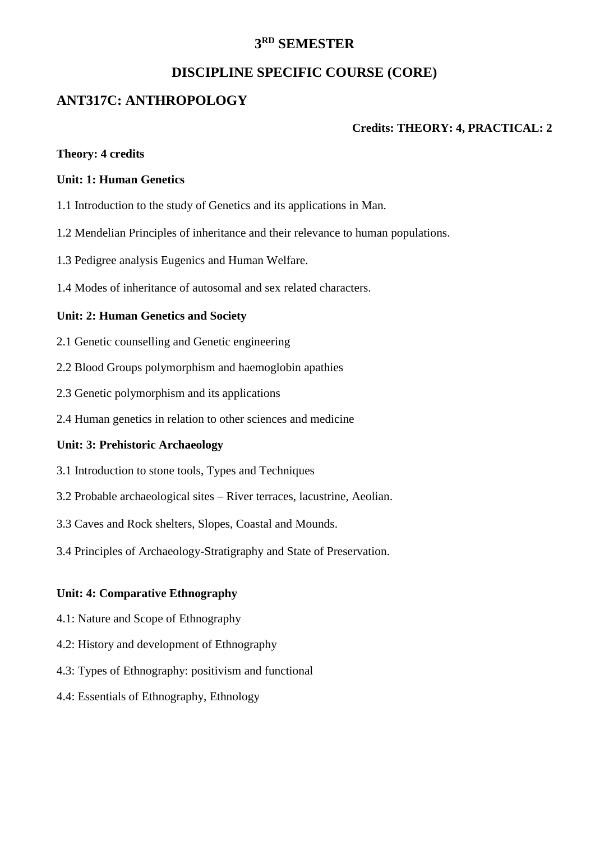# **3 RD SEMESTER**

# **DISCIPLINE SPECIFIC COURSE (CORE)**

# **ANT317C: ANTHROPOLOGY**

#### **Credits: THEORY: 4, PRACTICAL: 2**

#### **Theory: 4 credits**

#### **Unit: 1: Human Genetics**

- 1.1 Introduction to the study of Genetics and its applications in Man.
- 1.2 Mendelian Principles of inheritance and their relevance to human populations.
- 1.3 Pedigree analysis Eugenics and Human Welfare.
- 1.4 Modes of inheritance of autosomal and sex related characters.

#### **Unit: 2: Human Genetics and Society**

- 2.1 Genetic counselling and Genetic engineering
- 2.2 Blood Groups polymorphism and haemoglobin apathies
- 2.3 Genetic polymorphism and its applications
- 2.4 Human genetics in relation to other sciences and medicine

#### **Unit: 3: Prehistoric Archaeology**

- 3.1 Introduction to stone tools, Types and Techniques
- 3.2 Probable archaeological sites River terraces, lacustrine, Aeolian.
- 3.3 Caves and Rock shelters, Slopes, Coastal and Mounds.
- 3.4 Principles of Archaeology-Stratigraphy and State of Preservation.

#### **Unit: 4: Comparative Ethnography**

- 4.1: Nature and Scope of Ethnography
- 4.2: History and development of Ethnography
- 4.3: Types of Ethnography: positivism and functional
- 4.4: Essentials of Ethnography, Ethnology